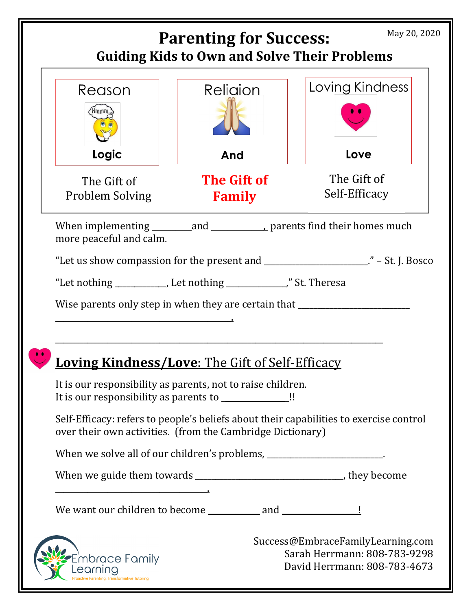| May 20, 2020<br><b>Parenting for Success:</b><br><b>Guiding Kids to Own and Solve Their Problems</b> |                                                                                                                                            |                                                                                                   |  |
|------------------------------------------------------------------------------------------------------|--------------------------------------------------------------------------------------------------------------------------------------------|---------------------------------------------------------------------------------------------------|--|
| Reason                                                                                               | Religion                                                                                                                                   | Loving Kindness                                                                                   |  |
| Logic<br>The Gift of<br>Problem Solving                                                              | And<br><b>The Gift of</b><br><b>Family</b>                                                                                                 | Love<br>The Gift of<br>Self-Efficacy                                                              |  |
| more peaceful and calm.                                                                              |                                                                                                                                            |                                                                                                   |  |
|                                                                                                      | Wise parents only step in when they are certain that ___________________________<br><b>Loving Kindness/Love: The Gift of Self-Efficacy</b> |                                                                                                   |  |
|                                                                                                      | It is our responsibility as parents, not to raise children.<br>It is our responsibility as parents to ______________!!                     |                                                                                                   |  |
|                                                                                                      | over their own activities. (from the Cambridge Dictionary)                                                                                 | Self-Efficacy: refers to people's beliefs about their capabilities to exercise control            |  |
|                                                                                                      | When we solve all of our children's problems, __________________________________                                                           |                                                                                                   |  |
|                                                                                                      |                                                                                                                                            |                                                                                                   |  |
|                                                                                                      |                                                                                                                                            |                                                                                                   |  |
| nbrace Family<br>earning<br>arenting, Transformative Tutoring                                        |                                                                                                                                            | Success@EmbraceFamilyLearning.com<br>Sarah Herrmann: 808-783-9298<br>David Herrmann: 808-783-4673 |  |